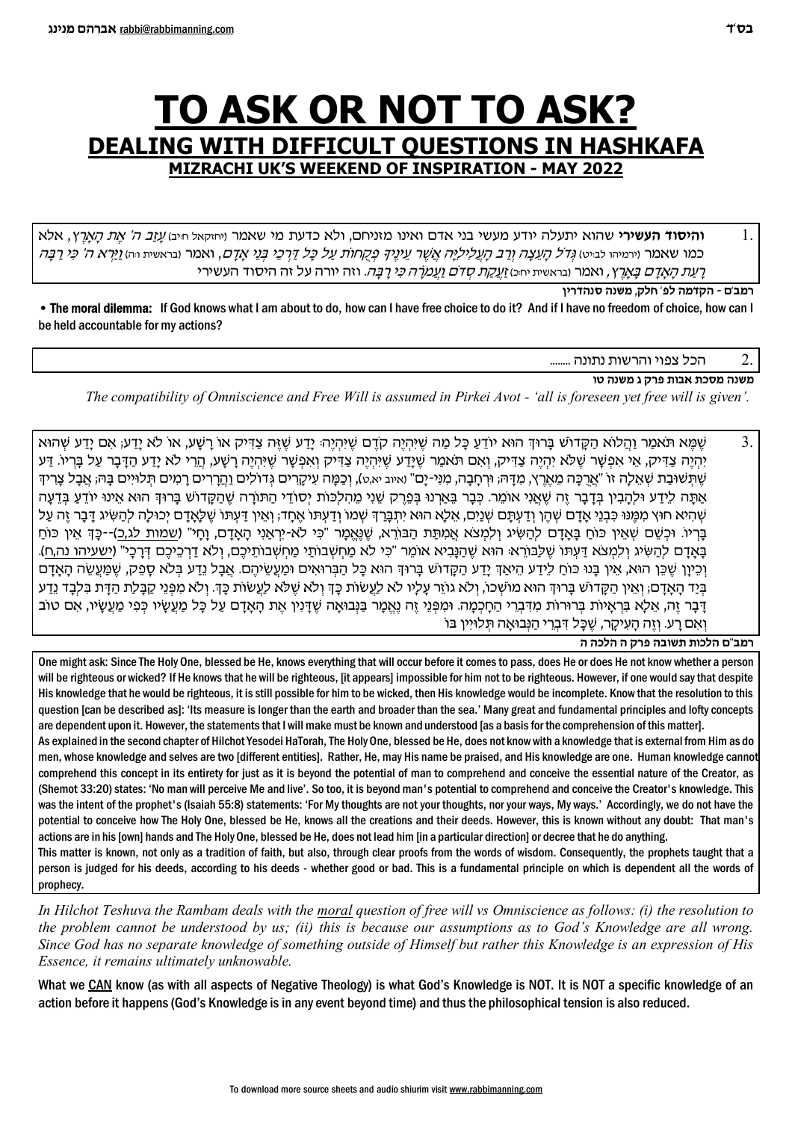## TO ASK OR NOT TO ASK? DEALING WITH DIFFICULT QUESTIONS IN HASHKAFA **MIZRACHI UK'S WEEKEND OF INSPIRATION - MAY 2022**

**והיסוד העשירי** שהוא יתעלה יודע מעשי בני אדם ואינו מזניחם, ולא כדעת מי שאמר ו<sub>י</sub>חזקאל חים *עזב ה' את הארץ*, אלא כמו שאמר וירמיהו לביט) *גְדֹל הָעֵצָה וְרַב הָעֲלִילִיָּה אֲשֶׁר עֵינֵיךְ פִ*קָחוֹת *עַל כָּל דַּרְכֵי בְּנֵי אֲדָם,* ואמר ובראשית וּהּ) <u>וַי</u>ּרָא *ה' כִּי רַבָּה* <u>רַעַת קאַדָם בַּאֲרֶ</u>ץ, ואמר ובראשית יחּכּו<u> זַעקַת קדם וַעֲמֹרָה כֵּי רַבֵּה.</u> וזה יורה על זה היסוד העשירי

רמב'ם - הקדמה לפ' חלק, משנה סנהדרין

. The moral dilemma: If God knows what I am about to do, how can I have free choice to do it? And if I have no freedom of choice, how can I be held accountable for my actions?

הכל צפוי והרשות נתונה ........

משנה מסכת אבות פרק ג משנה טו

The compatibility of Omniscience and Free Will is assumed in Pirkei Avot - 'all is foreseen yet free will is given'.

שָׁמֵא תֹּאמַר וַהֲלוֹא הַקָּדוֹשׁ בָּרוּךְ הוּא יוֹדֵעַ כָּל מַה שֵׁיּהְיֶה קֹדֶם שֵׁיּהְיֶה. יָדַע שֵׁזֵּה צַדִּיק או רָשָׁע, או לֹא יָדַע, אִם יָדַע שָׁהוּא  $\mathcal{F}_{\mathcal{L}}$ יָהְיֶה צַדִּיק, אֵי אִפְשַׁר שָׁלֹא יְהִיֶה צַדִּיק, וְאִם תֹּאמַר שֶׁיַּדַע שֶׁיִּהְיֶה וְאָפְשַׁר שֶׁיָּהְיֶה רַשָּׁע, הָרֵי לֹא יַדַע הַדַּבָר עַל בַּרִיוֹ. דַּע שֶׁתְּשׁוּבַת שָׁאֱלַה זו "אֲרָכָּה מֵאֶרֶץ, מְדַּהּ; וּרְחַבָה, מְנִי-יַם" ואיב יא,ט), וְכָמַה עִיקַרִים גְדוֹלִים וַהֲרָיִים רַמִים תְּלוּיִים בַּהּ; אֲבָל צַרְידִ אתה לידע ולהבין בדבר זה שאני אומר. כבר בארנו בפרק שני מהלכות יסודי התורה שהקדוש ברוד הוא אינו יודע בדעה ּשָׁהִיא חוּץ מִמֶּנוּ כִּבְנֵי אַדָם שָׁהֵן וְדַעְתַּם שָׁנַיִם, אֲלֵא הוּא יִתְבַּרְךָ שָׁמוֹ וְדַעְתּוֹ אֶחָד, וְאֵין דַעִתּוֹ שֶׁלְאֲדָם יְכוּלַה לְהַשִּׂיג דַּבְר זֶה עַל בריו. וכשם שאין כוח באדם להשיג ולמצא אמתת הבורא, שנאמר "כי לא-יראני האדם, וחי" (שמות לג,כ)--כד אין כוח בַּאַדַם לַהַשִּׂיג וְלַמְצֹא דַּעְתּוֹ שֶׁלַבּוֹרֵא: הוּא שֶׁהַנַּבִיא אוֹמֶר "כִּי לֹא מַחְשָׁבוֹתֵי מַחְשָׁבוֹתֵיכֶם, וְלֹא דַרְכֵיכֶם דְּרָכַי" (ישעיהו נה,ח). וְכֵיוַן שֶׁכֵּן הוּא, אֵין בַּנוּ כּוֹחַ לַיִדַע הַיֹּאַדְּ יַדַע הַקַּדוֹשׁ בַּרוּדְ הוּא כַּל הַבְּרוּאִים וּמַעֲשִׂיהֶם. אָבַל נַדַע בִּלֹא סַכֵּק, שָׁמַּעֲשָׂה הָאַדָם בְּיַד הָאֲדָם; וְאֵין הַקָּדוֹשׁ בָּרוּךְ הוּא מוֹשָׁכוֹ, וְלֹא גוֹיֵר עָלָיו לֹא לַעֲשוֹת כָּךְ וְלֹא שָׁלֹא לַעֲשוֹת כָּךְ וְלֹא מִפְּנֵי קַבָּלַת הַדָּת בִּלְבָד נֵדַע דבר זה, אלא בראיות ברורות מדברי החכמה. ומפני זה נאמר בנבואה שדנין את האדם על כל מעשיו כפי מעשיו, אם טוב ואם רע. וזה העיקר, שכל דברי הנבואה תלויין בו

רמב"ם הלכות תשובה פרק ה הלכה ה

One might ask: Since The Holy One, blessed be He, knows everything that will occur before it comes to pass, does He or does He not know whether a person will be righteous or wicked? If He knows that he will be righteous, [it appears] impossible for him not to be righteous. However, if one would say that despite His knowledge that he would be righteous, it is still possible for him to be wicked, then His knowledge would be incomplete. Know that the resolution to this question [can be described as]: 'Its measure is longer than the earth and broader than the sea.' Many great and fundamental principles and lofty concepts are dependent upon it. However, the statements that I will make must be known and understood [as a basis for the comprehension of this matter]. As explained in the second chapter of Hilchot Yesodei HaTorah, The Holy One, blessed be He, does not know with a knowledge that is external from Him as do men, whose knowledge and selves are two [different entities]. Rather, He, may His name be praised, and His knowledge are one. Human knowledge cannot comprehend this concept in its entirety for just as it is beyond the potential of man to comprehend and conceive the essential nature of the Creator, as (Shemot 33:20) states: 'No man will perceive Me and live'. So too, it is beyond man's potential to comprehend and conceive the Creator's knowledge. This was the intent of the prophet's (Isaiah 55:8) statements: 'For My thoughts are not your thoughts, nor your ways, My ways.' Accordingly, we do not have the potential to conceive how The Holy One, blessed be He, knows all the creations and their deeds. However, this is known without any doubt: That man's actions are in his [own] hands and The Holy One, blessed be He, does not lead him [in a particular direction] or decree that he do anything. This matter is known, not only as a tradition of faith, but also, through clear proofs from the words of wisdom. Consequently, the prophets taught that a person is judged for his deeds, according to his deeds - whether good or bad. This is a fundamental principle on which is dependent all the words of prophecy.

In Hilchot Teshuva the Rambam deals with the moral question of free will vs Omniscience as follows: (i) the resolution to the problem cannot be understood by us; (ii) this is because our assumptions as to God's Knowledge are all wrong. Since God has no separate knowledge of something outside of Himself but rather this Knowledge is an expression of His Essence, it remains ultimately unknowable.

What we CAN know (as with all aspects of Negative Theology) is what God's Knowledge is NOT. It is NOT a specific knowledge of an action before it happens (God's Knowledge is in any event beyond time) and thus the philosophical tension is also reduced.

 $\mathbf{1}$ .

 $\overline{2}$ .